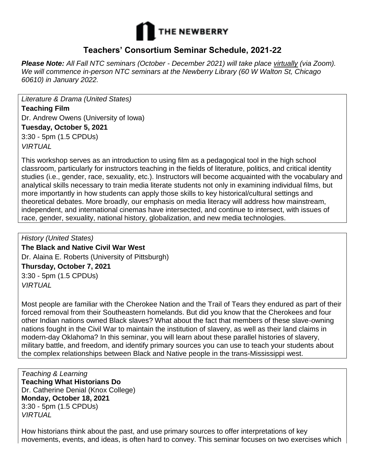

## **Teachers' Consortium Seminar Schedule, 2021-22**

*Please Note: All Fall NTC seminars (October - December 2021) will take place virtually (via Zoom). We will commence in-person NTC seminars at the Newberry Library (60 W Walton St, Chicago 60610) in January 2022.*

*Literature & Drama (United States)* **Teaching Film** Dr. Andrew Owens (University of Iowa) **Tuesday, October 5, 2021** 3:30 - 5pm (1.5 CPDUs) *VIRTUAL*

This workshop serves as an introduction to using film as a pedagogical tool in the high school classroom, particularly for instructors teaching in the fields of literature, politics, and critical identity studies (i.e., gender, race, sexuality, etc.). Instructors will become acquainted with the vocabulary and analytical skills necessary to train media literate students not only in examining individual films, but more importantly in how students can apply those skills to key historical/cultural settings and theoretical debates. More broadly, our emphasis on media literacy will address how mainstream, independent, and international cinemas have intersected, and continue to intersect, with issues of race, gender, sexuality, national history, globalization, and new media technologies.

*History (United States)* **The Black and Native Civil War West** Dr. Alaina E. Roberts (University of Pittsburgh) **Thursday, October 7, 2021** 3:30 - 5pm (1.5 CPDUs) *VIRTUAL*

Most people are familiar with the Cherokee Nation and the Trail of Tears they endured as part of their forced removal from their Southeastern homelands. But did you know that the Cherokees and four other Indian nations owned Black slaves? What about the fact that members of these slave-owning nations fought in the Civil War to maintain the institution of slavery, as well as their land claims in modern-day Oklahoma? In this seminar, you will learn about these parallel histories of slavery, military battle, and freedom, and identify primary sources you can use to teach your students about the complex relationships between Black and Native people in the trans-Mississippi west.

*Teaching & Learning* **Teaching What Historians Do** Dr. Catherine Denial (Knox College) **Monday, October 18, 2021** 3:30 - 5pm (1.5 CPDUs) *VIRTUAL*

How historians think about the past, and use primary sources to offer interpretations of key movements, events, and ideas, is often hard to convey. This seminar focuses on two exercises which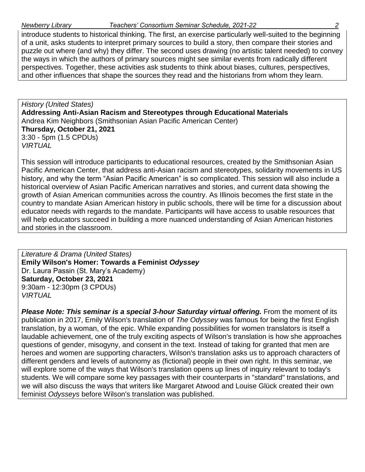introduce students to historical thinking. The first, an exercise particularly well-suited to the beginning of a unit, asks students to interpret primary sources to build a story, then compare their stories and puzzle out where (and why) they differ. The second uses drawing (no artistic talent needed) to convey the ways in which the authors of primary sources might see similar events from radically different perspectives. Together, these activities ask students to think about biases, cultures, perspectives, and other influences that shape the sources they read and the historians from whom they learn.

*History (United States)* **Addressing Anti-Asian Racism and Stereotypes through Educational Materials**  Andrea Kim Neighbors (Smithsonian Asian Pacific American Center) **Thursday, October 21, 2021**  3:30 - 5pm (1.5 CPDUs) *VIRTUAL*

This session will introduce participants to educational resources, created by the Smithsonian Asian Pacific American Center, that address anti-Asian racism and stereotypes, solidarity movements in US history, and why the term "Asian Pacific American" is so complicated. This session will also include a historical overview of Asian Pacific American narratives and stories, and current data showing the growth of Asian American communities across the country. As Illinois becomes the first state in the country to mandate Asian American history in public schools, there will be time for a discussion about educator needs with regards to the mandate. Participants will have access to usable resources that will help educators succeed in building a more nuanced understanding of Asian American histories and stories in the classroom.

*Literature & Drama (United States)* **Emily Wilson's Homer: Towards a Feminist** *Odyssey* Dr. Laura Passin (St. Mary's Academy) **Saturday, October 23, 2021**  9:30am - 12:30pm (3 CPDUs) *VIRTUAL*

*Please Note: This seminar is a special 3-hour Saturday virtual offering.* From the moment of its publication in 2017, Emily Wilson's translation of *The Odyssey* was famous for being the first English translation, by a woman, of the epic. While expanding possibilities for women translators is itself a laudable achievement, one of the truly exciting aspects of Wilson's translation is how she approaches questions of gender, misogyny, and consent in the text. Instead of taking for granted that men are heroes and women are supporting characters, Wilson's translation asks us to approach characters of different genders and levels of autonomy as (fictional) people in their own right. In this seminar, we will explore some of the ways that Wilson's translation opens up lines of inquiry relevant to today's students. We will compare some key passages with their counterparts in "standard" translations, and we will also discuss the ways that writers like Margaret Atwood and Louise Glück created their own feminist *Odysseys* before Wilson's translation was published.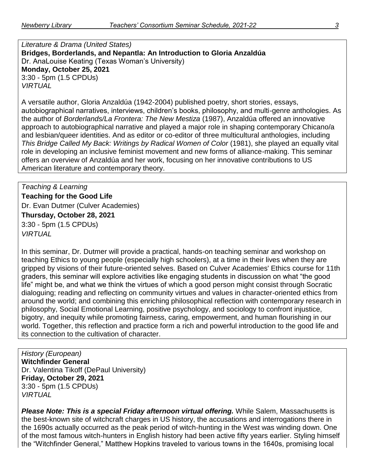*Literature & Drama (United States)* **Bridges, Borderlands, and Nepantla: An Introduction to Gloria Anzaldúa**  Dr. AnaLouise Keating (Texas Woman's University) **Monday, October 25, 2021** 3:30 - 5pm (1.5 CPDUs) *VIRTUAL*

A versatile author, Gloria Anzaldúa (1942-2004) published poetry, short stories, essays, autobiographical narratives, interviews, children's books, philosophy, and multi-genre anthologies. As the author of *Borderlands/La Frontera: The New Mestiza* (1987), Anzaldúa offered an innovative approach to autobiographical narrative and played a major role in shaping contemporary Chicano/a and lesbian/queer identities. And as editor or co-editor of three multicultural anthologies, including *This Bridge Called My Back: Writings by Radical Women of Color* (1981), she played an equally vital role in developing an inclusive feminist movement and new forms of alliance-making. This seminar offers an overview of Anzaldúa and her work, focusing on her innovative contributions to US American literature and contemporary theory.

*Teaching & Learning* **Teaching for the Good Life** Dr. Evan Dutmer (Culver Academies) **Thursday, October 28, 2021** 3:30 - 5pm (1.5 CPDUs) *VIRTUAL*

In this seminar, Dr. Dutmer will provide a practical, hands-on teaching seminar and workshop on teaching Ethics to young people (especially high schoolers), at a time in their lives when they are gripped by visions of their future-oriented selves. Based on Culver Academies' Ethics course for 11th graders, this seminar will explore activities like engaging students in discussion on what "the good life" might be, and what we think the virtues of which a good person might consist through Socratic dialoguing; reading and reflecting on community virtues and values in character-oriented ethics from around the world; and combining this enriching philosophical reflection with contemporary research in philosophy, Social Emotional Learning, positive psychology, and sociology to confront injustice, bigotry, and inequity while promoting fairness, caring, empowerment, and human flourishing in our world. Together, this reflection and practice form a rich and powerful introduction to the good life and its connection to the cultivation of character.

*History (European)* **Witchfinder General** Dr. Valentina Tikoff (DePaul University) **Friday, October 29, 2021** 3:30 - 5pm (1.5 CPDUs) *VIRTUAL*

**Please Note: This is a special Friday afternoon virtual offering.** While Salem, Massachusetts is the best-known site of witchcraft charges in US history, the accusations and interrogations there in the 1690s actually occurred as the peak period of witch-hunting in the West was winding down. One of the most famous witch-hunters in English history had been active fifty years earlier. Styling himself the "Witchfinder General," Matthew Hopkins traveled to various towns in the 1640s, promising local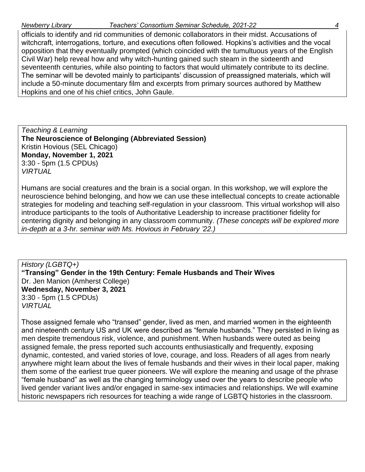officials to identify and rid communities of demonic collaborators in their midst. Accusations of witchcraft, interrogations, torture, and executions often followed. Hopkins's activities and the vocal opposition that they eventually prompted (which coincided with the tumultuous years of the English Civil War) help reveal how and why witch-hunting gained such steam in the sixteenth and seventeenth centuries, while also pointing to factors that would ultimately contribute to its decline. The seminar will be devoted mainly to participants' discussion of preassigned materials, which will include a 50-minute documentary film and excerpts from primary sources authored by Matthew Hopkins and one of his chief critics, John Gaule.

*Teaching & Learning* **The Neuroscience of Belonging (Abbreviated Session)** Kristin Hovious (SEL Chicago) **Monday, November 1, 2021** 3:30 - 5pm (1.5 CPDUs) *VIRTUAL*

Humans are social creatures and the brain is a social organ. In this workshop, we will explore the neuroscience behind belonging, and how we can use these intellectual concepts to create actionable strategies for modeling and teaching self-regulation in your classroom. This virtual workshop will also introduce participants to the tools of Authoritative Leadership to increase practitioner fidelity for centering dignity and belonging in any classroom community. *(These concepts will be explored more in-depth at a 3-hr. seminar with Ms. Hovious in February '22.)*

*History (LGBTQ+)* **"Transing" Gender in the 19th Century: Female Husbands and Their Wives**  Dr. Jen Manion (Amherst College) **Wednesday, November 3, 2021** 3:30 - 5pm (1.5 CPDUs) *VIRTUAL*

Those assigned female who "transed" gender, lived as men, and married women in the eighteenth and nineteenth century US and UK were described as "female husbands." They persisted in living as men despite tremendous risk, violence, and punishment. When husbands were outed as being assigned female, the press reported such accounts enthusiastically and frequently, exposing dynamic, contested, and varied stories of love, courage, and loss. Readers of all ages from nearly anywhere might learn about the lives of female husbands and their wives in their local paper, making them some of the earliest true queer pioneers. We will explore the meaning and usage of the phrase "female husband" as well as the changing terminology used over the years to describe people who lived gender variant lives and/or engaged in same-sex intimacies and relationships. We will examine historic newspapers rich resources for teaching a wide range of LGBTQ histories in the classroom.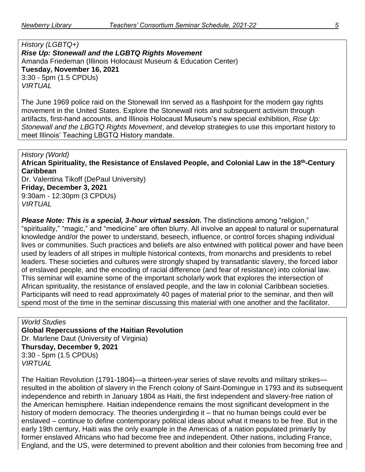*History (LGBTQ+) Rise Up: Stonewall and the LGBTQ Rights Movement* Amanda Friedeman (Illinois Holocaust Museum & Education Center) **Tuesday, November 16, 2021** 3:30 - 5pm (1.5 CPDUs) *VIRTUAL*

The June 1969 police raid on the Stonewall Inn served as a flashpoint for the modern gay rights movement in the United States. Explore the Stonewall riots and subsequent activism through artifacts, first-hand accounts, and Illinois Holocaust Museum's new special exhibition, *Rise Up: Stonewall and the LBGTQ Rights Movement*, and develop strategies to use this important history to meet Illinois' Teaching LBGTQ History mandate.

*History (World)* **African Spirituality, the Resistance of Enslaved People, and Colonial Law in the 18th-Century Caribbean** Dr. Valentina Tikoff (DePaul University) **Friday, December 3, 2021** 9:30am - 12:30pm (3 CPDUs) *VIRTUAL*

*Please Note: This is a special, 3-hour virtual session.* The distinctions among "religion," "spirituality," "magic," and "medicine" are often blurry. All involve an appeal to natural or supernatural knowledge and/or the power to understand, beseech, influence, or control forces shaping individual lives or communities. Such practices and beliefs are also entwined with political power and have been used by leaders of all stripes in multiple historical contexts, from monarchs and presidents to rebel leaders. These societies and cultures were strongly shaped by transatlantic slavery, the forced labor of enslaved people, and the encoding of racial difference (and fear of resistance) into colonial law. This seminar will examine some of the important scholarly work that explores the intersection of African spirituality, the resistance of enslaved people, and the law in colonial Caribbean societies. Participants will need to read approximately 40 pages of material prior to the seminar, and then will spend most of the time in the seminar discussing this material with one another and the facilitator.

*World Studies* **Global Repercussions of the Haitian Revolution** Dr. Marlene Daut (University of Virginia) **Thursday, December 9, 2021** 3:30 - 5pm (1.5 CPDUs) *VIRTUAL*

The Haitian Revolution (1791-1804)—a thirteen-year series of slave revolts and military strikes resulted in the abolition of slavery in the French colony of Saint-Domingue in 1793 and its subsequent independence and rebirth in January 1804 as Haiti, the first independent and slavery-free nation of the American hemisphere. Haitian independence remains the most significant development in the history of modern democracy. The theories undergirding it – that no human beings could ever be enslaved – continue to define contemporary political ideas about what it means to be free. But in the early 19th century, Haiti was the only example in the Americas of a nation populated primarily by former enslaved Africans who had become free and independent. Other nations, including France, England, and the US, were determined to prevent abolition and their colonies from becoming free and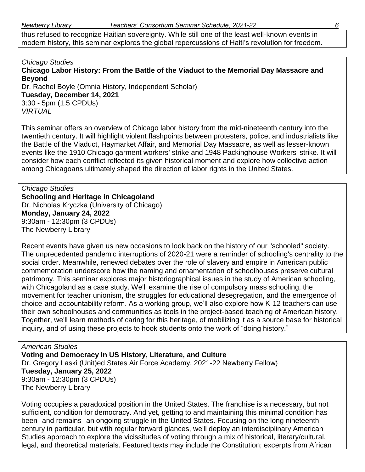thus refused to recognize Haitian sovereignty. While still one of the least well-known events in modern history, this seminar explores the global repercussions of Haiti's revolution for freedom.

## *Chicago Studies*

**Chicago Labor History: From the Battle of the Viaduct to the Memorial Day Massacre and Beyond**

Dr. Rachel Boyle (Omnia History, Independent Scholar) **Tuesday, December 14, 2021** 3:30 - 5pm (1.5 CPDUs) *VIRTUAL*

This seminar offers an overview of Chicago labor history from the mid-nineteenth century into the twentieth century. It will highlight violent flashpoints between protesters, police, and industrialists like the Battle of the Viaduct, Haymarket Affair, and Memorial Day Massacre, as well as lesser-known events like the 1910 Chicago garment workers' strike and 1948 Packinghouse Workers' strike. It will consider how each conflict reflected its given historical moment and explore how collective action among Chicagoans ultimately shaped the direction of labor rights in the United States.

*Chicago Studies* **Schooling and Heritage in Chicagoland** Dr. Nicholas Kryczka (University of Chicago) **Monday, January 24, 2022** 9:30am - 12:30pm (3 CPDUs) The Newberry Library

Recent events have given us new occasions to look back on the history of our "schooled" society. The unprecedented pandemic interruptions of 2020-21 were a reminder of schooling's centrality to the social order. Meanwhile, renewed debates over the role of slavery and empire in American public commemoration underscore how the naming and ornamentation of schoolhouses preserve cultural patrimony. This seminar explores major historiographical issues in the study of American schooling, with Chicagoland as a case study. We'll examine the rise of compulsory mass schooling, the movement for teacher unionism, the struggles for educational desegregation, and the emergence of choice-and-accountability reform. As a working group, we'll also explore how K-12 teachers can use their own schoolhouses and communities as tools in the project-based teaching of American history. Together, we'll learn methods of caring for this heritage, of mobilizing it as a source base for historical inquiry, and of using these projects to hook students onto the work of "doing history."

*American Studies* **Voting and Democracy in US History, Literature, and Culture** Dr. Gregory Laski (Unit)ed States Air Force Academy, 2021-22 Newberry Fellow) **Tuesday, January 25, 2022** 9:30am - 12:30pm (3 CPDUs) The Newberry Library

Voting occupies a paradoxical position in the United States. The franchise is a necessary, but not sufficient, condition for democracy. And yet, getting to and maintaining this minimal condition has been--and remains--an ongoing struggle in the United States. Focusing on the long nineteenth century in particular, but with regular forward glances, we'll deploy an interdisciplinary American Studies approach to explore the vicissitudes of voting through a mix of historical, literary/cultural, legal, and theoretical materials. Featured texts may include the Constitution; excerpts from African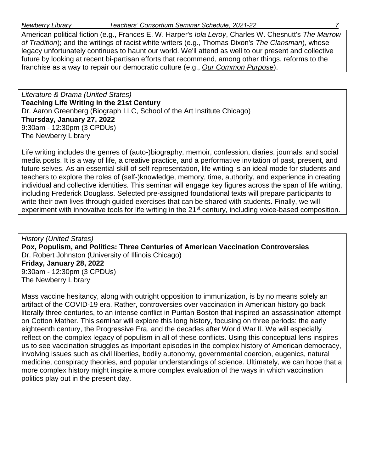American political fiction (e.g., Frances E. W. Harper's *Iola Leroy*, Charles W. Chesnutt's *The Marrow of Tradition*); and the writings of racist white writers (e.g., Thomas Dixon's *The Clansman*), whose legacy unfortunately continues to haunt our world. We'll attend as well to our present and collective future by looking at recent bi-partisan efforts that recommend, among other things, reforms to the franchise as a way to repair our democratic culture (e.g., *[Our Common Purpose](https://www.amacad.org/ourcommonpurpose)*).

*Literature & Drama (United States)* **Teaching Life Writing in the 21st Century** Dr. Aaron Greenberg (Biograph LLC, School of the Art Institute Chicago) **Thursday, January 27, 2022** 9:30am - 12:30pm (3 CPDUs) The Newberry Library

Life writing includes the genres of (auto-)biography, memoir, confession, diaries, journals, and social media posts. It is a way of life, a creative practice, and a performative invitation of past, present, and future selves. As an essential skill of self-representation, life writing is an ideal mode for students and teachers to explore the roles of (self-)knowledge, memory, time, authority, and experience in creating individual and collective identities. This seminar will engage key figures across the span of life writing, including Frederick Douglass. Selected pre-assigned foundational texts will prepare participants to write their own lives through guided exercises that can be shared with students. Finally, we will experiment with innovative tools for life writing in the 21<sup>st</sup> century, including voice-based composition.

*History (United States)* **Pox, Populism, and Politics: Three Centuries of American Vaccination Controversies** Dr. Robert Johnston (University of Illinois Chicago) **Friday, January 28, 2022** 9:30am - 12:30pm (3 CPDUs) The Newberry Library

Mass vaccine hesitancy, along with outright opposition to immunization, is by no means solely an artifact of the COVID-19 era. Rather, controversies over vaccination in American history go back literally three centuries, to an intense conflict in Puritan Boston that inspired an assassination attempt on Cotton Mather. This seminar will explore this long history, focusing on three periods: the early eighteenth century, the Progressive Era, and the decades after World War II. We will especially reflect on the complex legacy of populism in all of these conflicts. Using this conceptual lens inspires us to see vaccination struggles as important episodes in the complex history of American democracy, involving issues such as civil liberties, bodily autonomy, governmental coercion, eugenics, natural medicine, conspiracy theories, and popular understandings of science. Ultimately, we can hope that a more complex history might inspire a more complex evaluation of the ways in which vaccination politics play out in the present day.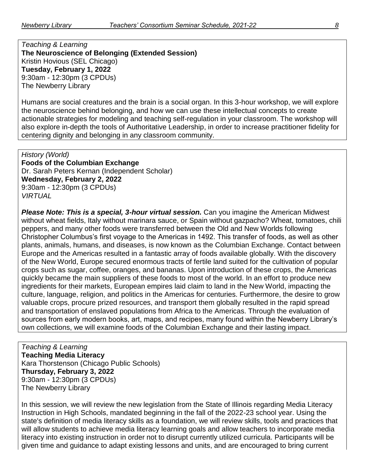*Teaching & Learning* **The Neuroscience of Belonging (Extended Session)** Kristin Hovious (SEL Chicago) **Tuesday, February 1, 2022** 9:30am - 12:30pm (3 CPDUs) The Newberry Library

Humans are social creatures and the brain is a social organ. In this 3-hour workshop, we will explore the neuroscience behind belonging, and how we can use these intellectual concepts to create actionable strategies for modeling and teaching self-regulation in your classroom. The workshop will also explore in-depth the tools of Authoritative Leadership, in order to increase practitioner fidelity for centering dignity and belonging in any classroom community.

*History (World)* **Foods of the Columbian Exchange** Dr. Sarah Peters Kernan (Independent Scholar) **Wednesday, February 2, 2022** 9:30am - 12:30pm (3 CPDUs) *VIRTUAL*

*Please Note: This is a special, 3-hour virtual session.* Can you imagine the American Midwest without wheat fields, Italy without marinara sauce, or Spain without gazpacho? Wheat, tomatoes, chili peppers, and many other foods were transferred between the Old and New Worlds following Christopher Columbus's first voyage to the Americas in 1492. This transfer of foods, as well as other plants, animals, humans, and diseases, is now known as the Columbian Exchange. Contact between Europe and the Americas resulted in a fantastic array of foods available globally. With the discovery of the New World, Europe secured enormous tracts of fertile land suited for the cultivation of popular crops such as sugar, coffee, oranges, and bananas. Upon introduction of these crops, the Americas quickly became the main suppliers of these foods to most of the world. In an effort to produce new ingredients for their markets, European empires laid claim to land in the New World, impacting the culture, language, religion, and politics in the Americas for centuries. Furthermore, the desire to grow valuable crops, procure prized resources, and transport them globally resulted in the rapid spread and transportation of enslaved populations from Africa to the Americas. Through the evaluation of sources from early modern books, art, maps, and recipes, many found within the Newberry Library's own collections, we will examine foods of the Columbian Exchange and their lasting impact.

*Teaching & Learning* **Teaching Media Literacy** Kara Thorstenson (Chicago Public Schools) **Thursday, February 3, 2022** 9:30am - 12:30pm (3 CPDUs) The Newberry Library

In this session, we will review the new legislation from the State of Illinois regarding Media Literacy Instruction in High Schools, mandated beginning in the fall of the 2022-23 school year. Using the state's definition of media literacy skills as a foundation, we will review skills, tools and practices that will allow students to achieve media literacy learning goals and allow teachers to incorporate media literacy into existing instruction in order not to disrupt currently utilized curricula. Participants will be given time and guidance to adapt existing lessons and units, and are encouraged to bring current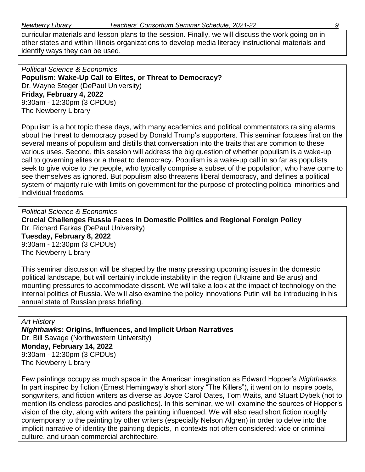curricular materials and lesson plans to the session. Finally, we will discuss the work going on in other states and within Illinois organizations to develop media literacy instructional materials and identify ways they can be used.

*Political Science & Economics* **Populism: Wake-Up Call to Elites, or Threat to Democracy?** Dr. Wayne Steger (DePaul University) **Friday, February 4, 2022** 9:30am - 12:30pm (3 CPDUs) The Newberry Library

Populism is a hot topic these days, with many academics and political commentators raising alarms about the threat to democracy posed by Donald Trump's supporters. This seminar focuses first on the several means of populism and distills that conversation into the traits that are common to these various uses. Second, this session will address the big question of whether populism is a wake-up call to governing elites or a threat to democracy. Populism is a wake-up call in so far as populists seek to give voice to the people, who typically comprise a subset of the population, who have come to see themselves as ignored. But populism also threatens liberal democracy, and defines a political system of majority rule with limits on government for the purpose of protecting political minorities and individual freedoms.

*Political Science & Economics* **Crucial Challenges Russia Faces in Domestic Politics and Regional Foreign Policy** Dr. Richard Farkas (DePaul University) **Tuesday, February 8, 2022** 9:30am - 12:30pm (3 CPDUs) The Newberry Library

This seminar discussion will be shaped by the many pressing upcoming issues in the domestic political landscape, but will certainly include instability in the region (Ukraine and Belarus) and mounting pressures to accommodate dissent. We will take a look at the impact of technology on the internal politics of Russia. We will also examine the policy innovations Putin will be introducing in his annual state of Russian press briefing.

*Art History Nighthawks***: Origins, Influences, and Implicit Urban Narratives** Dr. Bill Savage (Northwestern University) **Monday, February 14, 2022** 9:30am - 12:30pm (3 CPDUs) The Newberry Library

Few paintings occupy as much space in the American imagination as Edward Hopper's *Nighthawks*. In part inspired by fiction (Ernest Hemingway's short story "The Killers"), it went on to inspire poets, songwriters, and fiction writers as diverse as Joyce Carol Oates, Tom Waits, and Stuart Dybek (not to mention its endless parodies and pastiches). In this seminar, we will examine the sources of Hopper's vision of the city, along with writers the painting influenced. We will also read short fiction roughly contemporary to the painting by other writers (especially Nelson Algren) in order to delve into the implicit narrative of identity the painting depicts, in contexts not often considered: vice or criminal culture, and urban commercial architecture.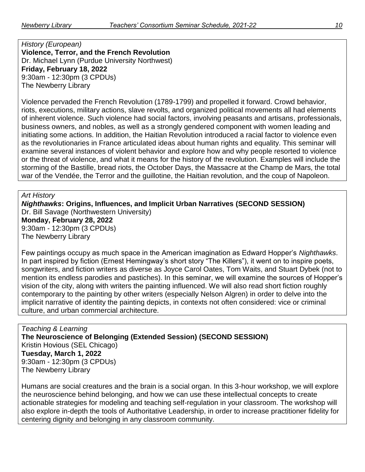*History (European)* **Violence, Terror, and the French Revolution** Dr. Michael Lynn (Purdue University Northwest) **Friday, February 18, 2022** 9:30am - 12:30pm (3 CPDUs) The Newberry Library

Violence pervaded the French Revolution (1789-1799) and propelled it forward. Crowd behavior, riots, executions, military actions, slave revolts, and organized political movements all had elements of inherent violence. Such violence had social factors, involving peasants and artisans, professionals, business owners, and nobles, as well as a strongly gendered component with women leading and initiating some actions. In addition, the Haitian Revolution introduced a racial factor to violence even as the revolutionaries in France articulated ideas about human rights and equality. This seminar will examine several instances of violent behavior and explore how and why people resorted to violence or the threat of violence, and what it means for the history of the revolution. Examples will include the storming of the Bastille, bread riots, the October Days, the Massacre at the Champ de Mars, the total war of the Vendée, the Terror and the guillotine, the Haitian revolution, and the coup of Napoleon.

*Art History*

*Nighthawks***: Origins, Influences, and Implicit Urban Narratives (SECOND SESSION)** Dr. Bill Savage (Northwestern University) **Monday, February 28, 2022** 9:30am - 12:30pm (3 CPDUs) The Newberry Library

Few paintings occupy as much space in the American imagination as Edward Hopper's *Nighthawks*. In part inspired by fiction (Ernest Hemingway's short story "The Killers"), it went on to inspire poets, songwriters, and fiction writers as diverse as Joyce Carol Oates, Tom Waits, and Stuart Dybek (not to mention its endless parodies and pastiches). In this seminar, we will examine the sources of Hopper's vision of the city, along with writers the painting influenced. We will also read short fiction roughly contemporary to the painting by other writers (especially Nelson Algren) in order to delve into the implicit narrative of identity the painting depicts, in contexts not often considered: vice or criminal culture, and urban commercial architecture.

*Teaching & Learning* **The Neuroscience of Belonging (Extended Session) (SECOND SESSION)** Kristin Hovious (SEL Chicago) **Tuesday, March 1, 2022** 9:30am - 12:30pm (3 CPDUs) The Newberry Library

Humans are social creatures and the brain is a social organ. In this 3-hour workshop, we will explore the neuroscience behind belonging, and how we can use these intellectual concepts to create actionable strategies for modeling and teaching self-regulation in your classroom. The workshop will also explore in-depth the tools of Authoritative Leadership, in order to increase practitioner fidelity for centering dignity and belonging in any classroom community.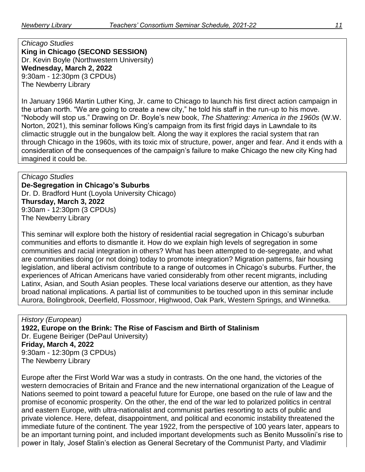*Chicago Studies* **King in Chicago (SECOND SESSION)** Dr. Kevin Boyle (Northwestern University) **Wednesday, March 2, 2022** 9:30am - 12:30pm (3 CPDUs) The Newberry Library

In January 1966 Martin Luther King, Jr. came to Chicago to launch his first direct action campaign in the urban north. "We are going to create a new city," he told his staff in the run-up to his move. "Nobody will stop us." Drawing on Dr. Boyle's new book, *The Shattering: America in the 1960s* (W.W. Norton, 2021), this seminar follows King's campaign from its first frigid days in Lawndale to its climactic struggle out in the bungalow belt. Along the way it explores the racial system that ran through Chicago in the 1960s, with its toxic mix of structure, power, anger and fear. And it ends with a consideration of the consequences of the campaign's failure to make Chicago the new city King had imagined it could be.

*Chicago Studies* **De-Segregation in Chicago's Suburbs** Dr. D. Bradford Hunt (Loyola University Chicago) **Thursday, March 3, 2022** 9:30am - 12:30pm (3 CPDUs) The Newberry Library

This seminar will explore both the history of residential racial segregation in Chicago's suburban communities and efforts to dismantle it. How do we explain high levels of segregation in some communities and racial integration in others? What has been attempted to de-segregate, and what are communities doing (or not doing) today to promote integration? Migration patterns, fair housing legislation, and liberal activism contribute to a range of outcomes in Chicago's suburbs. Further, the experiences of African Americans have varied considerably from other recent migrants, including Latinx, Asian, and South Asian peoples. These local variations deserve our attention, as they have broad national implications. A partial list of communities to be touched upon in this seminar include Aurora, Bolingbrook, Deerfield, Flossmoor, Highwood, Oak Park, Western Springs, and Winnetka.

*History (European)* **1922, Europe on the Brink: The Rise of Fascism and Birth of Stalinism** Dr. Eugene Beiriger (DePaul University) **Friday, March 4, 2022** 9:30am - 12:30pm (3 CPDUs) The Newberry Library

Europe after the First World War was a study in contrasts. On the one hand, the victories of the western democracies of Britain and France and the new international organization of the League of Nations seemed to point toward a peaceful future for Europe, one based on the rule of law and the promise of economic prosperity. On the other, the end of the war led to polarized politics in central and eastern Europe, with ultra-nationalist and communist parties resorting to acts of public and private violence. Here, defeat, disappointment, and political and economic instability threatened the immediate future of the continent. The year 1922, from the perspective of 100 years later, appears to be an important turning point, and included important developments such as Benito Mussolini's rise to power in Italy, Josef Stalin's election as General Secretary of the Communist Party, and Vladimir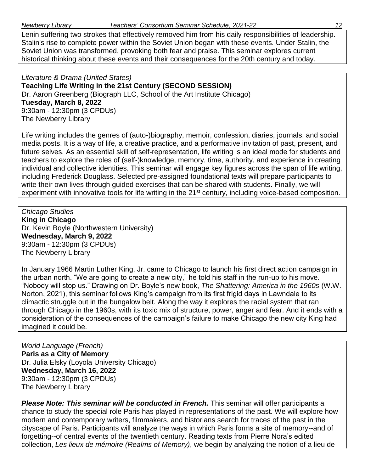Lenin suffering two strokes that effectively removed him from his daily responsibilities of leadership. Stalin's rise to complete power within the Soviet Union began with these events. Under Stalin, the Soviet Union was transformed, provoking both fear and praise. This seminar explores current historical thinking about these events and their consequences for the 20th century and today.

*Literature & Drama (United States)* **Teaching Life Writing in the 21st Century (SECOND SESSION)** Dr. Aaron Greenberg (Biograph LLC, School of the Art Institute Chicago) **Tuesday, March 8, 2022** 9:30am - 12:30pm (3 CPDUs) The Newberry Library

Life writing includes the genres of (auto-)biography, memoir, confession, diaries, journals, and social media posts. It is a way of life, a creative practice, and a performative invitation of past, present, and future selves. As an essential skill of self-representation, life writing is an ideal mode for students and teachers to explore the roles of (self-)knowledge, memory, time, authority, and experience in creating individual and collective identities. This seminar will engage key figures across the span of life writing, including Frederick Douglass. Selected pre-assigned foundational texts will prepare participants to write their own lives through guided exercises that can be shared with students. Finally, we will experiment with innovative tools for life writing in the 21<sup>st</sup> century, including voice-based composition.

*Chicago Studies* **King in Chicago** Dr. Kevin Boyle (Northwestern University) **Wednesday, March 9, 2022** 9:30am - 12:30pm (3 CPDUs) The Newberry Library

In January 1966 Martin Luther King, Jr. came to Chicago to launch his first direct action campaign in the urban north. "We are going to create a new city," he told his staff in the run-up to his move. "Nobody will stop us." Drawing on Dr. Boyle's new book, *The Shattering: America in the 1960s* (W.W. Norton, 2021), this seminar follows King's campaign from its first frigid days in Lawndale to its climactic struggle out in the bungalow belt. Along the way it explores the racial system that ran through Chicago in the 1960s, with its toxic mix of structure, power, anger and fear. And it ends with a consideration of the consequences of the campaign's failure to make Chicago the new city King had imagined it could be.

*World Language (French)* **Paris as a City of Memory** Dr. Julia Elsky (Loyola University Chicago) **Wednesday, March 16, 2022** 9:30am - 12:30pm (3 CPDUs) The Newberry Library

*Please Note: This seminar will be conducted in French.* This seminar will offer participants a chance to study the special role Paris has played in representations of the past. We will explore how modern and contemporary writers, filmmakers, and historians search for traces of the past in the cityscape of Paris. Participants will analyze the ways in which Paris forms a site of memory--and of forgetting--of central events of the twentieth century. Reading texts from Pierre Nora's edited collection, *Les lieux de mémoire (Realms of Memory)*, we begin by analyzing the notion of a lieu de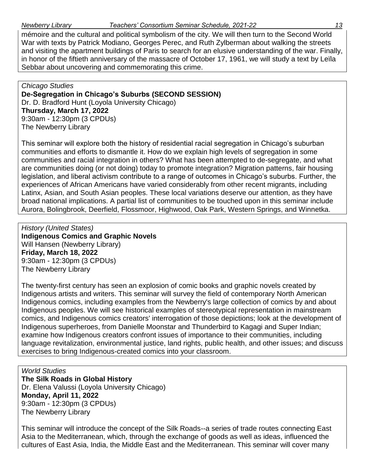mémoire and the cultural and political symbolism of the city. We will then turn to the Second World War with texts by Patrick Modiano, Georges Perec, and Ruth Zylberman about walking the streets and visiting the apartment buildings of Paris to search for an elusive understanding of the war. Finally, in honor of the fiftieth anniversary of the massacre of October 17, 1961, we will study a text by Leïla Sebbar about uncovering and commemorating this crime.

*Chicago Studies* **De-Segregation in Chicago's Suburbs (SECOND SESSION)** Dr. D. Bradford Hunt (Loyola University Chicago) **Thursday, March 17, 2022** 9:30am - 12:30pm (3 CPDUs) The Newberry Library

This seminar will explore both the history of residential racial segregation in Chicago's suburban communities and efforts to dismantle it. How do we explain high levels of segregation in some communities and racial integration in others? What has been attempted to de-segregate, and what are communities doing (or not doing) today to promote integration? Migration patterns, fair housing legislation, and liberal activism contribute to a range of outcomes in Chicago's suburbs. Further, the experiences of African Americans have varied considerably from other recent migrants, including Latinx, Asian, and South Asian peoples. These local variations deserve our attention, as they have broad national implications. A partial list of communities to be touched upon in this seminar include Aurora, Bolingbrook, Deerfield, Flossmoor, Highwood, Oak Park, Western Springs, and Winnetka.

*History (United States)* **Indigenous Comics and Graphic Novels** Will Hansen (Newberry Library) **Friday, March 18, 2022** 9:30am - 12:30pm (3 CPDUs) The Newberry Library

The twenty-first century has seen an explosion of comic books and graphic novels created by Indigenous artists and writers. This seminar will survey the field of contemporary North American Indigenous comics, including examples from the Newberry's large collection of comics by and about Indigenous peoples. We will see historical examples of stereotypical representation in mainstream comics, and Indigenous comics creators' interrogation of those depictions; look at the development of Indigenous superheroes, from Danielle Moonstar and Thunderbird to Kagagi and Super Indian; examine how Indigenous creators confront issues of importance to their communities, including language revitalization, environmental justice, land rights, public health, and other issues; and discuss exercises to bring Indigenous-created comics into your classroom.

*World Studies* **The Silk Roads in Global History** Dr. Elena Valussi (Loyola University Chicago) **Monday, April 11, 2022** 9:30am - 12:30pm (3 CPDUs) The Newberry Library

This seminar will introduce the concept of the Silk Roads--a series of trade routes connecting East Asia to the Mediterranean, which, through the exchange of goods as well as ideas, influenced the cultures of East Asia, India, the Middle East and the Mediterranean. This seminar will cover many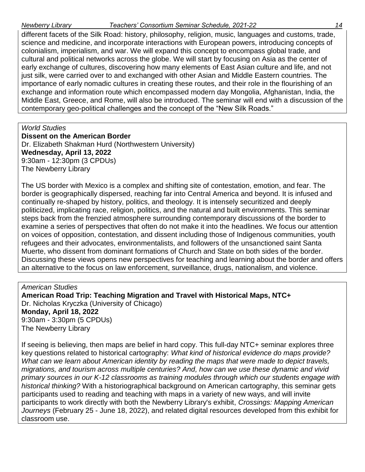## *Newberry Library Teachers' Consortium Seminar Schedule, 2021-22 14*

different facets of the Silk Road: history, philosophy, religion, music, languages and customs, trade, science and medicine, and incorporate interactions with European powers, introducing concepts of colonialism, imperialism, and war. We will expand this concept to encompass global trade, and cultural and political networks across the globe. We will start by focusing on Asia as the center of early exchange of cultures, discovering how many elements of East Asian culture and life, and not just silk, were carried over to and exchanged with other Asian and Middle Eastern countries. The importance of early nomadic cultures in creating these routes, and their role in the flourishing of an exchange and information route which encompassed modern day Mongolia, Afghanistan, India, the Middle East, Greece, and Rome, will also be introduced. The seminar will end with a discussion of the contemporary geo-political challenges and the concept of the "New Silk Roads."

*World Studies* **Dissent on the American Border** Dr. Elizabeth Shakman Hurd (Northwestern University) **Wednesday, April 13, 2022** 9:30am - 12:30pm (3 CPDUs) The Newberry Library

The US border with Mexico is a complex and shifting site of contestation, emotion, and fear. The border is geographically dispersed, reaching far into Central America and beyond. It is infused and continually re-shaped by history, politics, and theology. It is intensely securitized and deeply politicized, implicating race, religion, politics, and the natural and built environments. This seminar steps back from the frenzied atmosphere surrounding contemporary discussions of the border to examine a series of perspectives that often do not make it into the headlines. We focus our attention on voices of opposition, contestation, and dissent including those of Indigenous communities, youth refugees and their advocates, environmentalists, and followers of the unsanctioned saint Santa Muerte, who dissent from dominant formations of Church and State on both sides of the border. Discussing these views opens new perspectives for teaching and learning about the border and offers an alternative to the focus on law enforcement, surveillance, drugs, nationalism, and violence.

*American Studies* **American Road Trip: Teaching Migration and Travel with Historical Maps, NTC+** Dr. Nicholas Kryczka (University of Chicago) **Monday, April 18, 2022** 9:30am - 3:30pm (5 CPDUs) The Newberry Library

If seeing is believing, then maps are belief in hard copy. This full-day NTC+ seminar explores three key questions related to historical cartography: *What kind of historical evidence do maps provide? What can we learn about American identity by reading the maps that were made to depict travels, migrations, and tourism across multiple centuries? And, how can we use these dynamic and vivid primary sources in our K-12 classrooms as training modules through which our students engage with historical thinking?* With a historiographical background on American cartography, this seminar gets participants used to reading and teaching with maps in a variety of new ways, and will invite participants to work directly with both the Newberry Library's exhibit, *Crossings: Mapping American Journeys* (February 25 - June 18, 2022), and related digital resources developed from this exhibit for classroom use.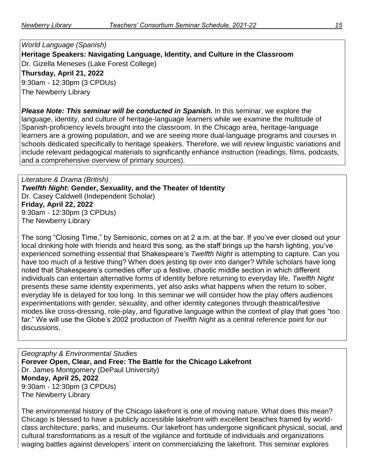*World Language (Spanish)* **Heritage Speakers: Navigating Language, Identity, and Culture in the Classroom** Dr. Gizella Meneses (Lake Forest College) **Thursday, April 21, 2022** 9:30am - 12:30pm (3 CPDUs) The Newberry Library

*Please Note: This seminar will be conducted in Spanish.* In this seminar, we explore the language, identity, and culture of heritage-language learners while we examine the multitude of Spanish-proficiency levels brought into the classroom. In the Chicago area, heritage-language learners are a growing population, and we are seeing more dual-language programs and courses in schools dedicated specifically to heritage speakers. Therefore, we will review linguistic variations and include relevant pedagogical materials to significantly enhance instruction (readings, films, podcasts, and a comprehensive overview of primary sources).

*Literature & Drama (British) Twelfth Night***: Gender, Sexuality, and the Theater of Identity** Dr. Casey Caldwell (Independent Scholar) **Friday, April 22, 2022** 9:30am - 12:30pm (3 CPDUs) The Newberry Library

The song "Closing Time," by Semisonic, comes on at 2 a.m. at the bar. If you've ever closed out your local drinking hole with friends and heard this song, as the staff brings up the harsh lighting, you've experienced something essential that Shakespeare's *Twelfth Night* is attempting to capture. Can you have too much of a festive thing? When does jesting tip over into danger? While scholars have long noted that Shakespeare's comedies offer up a festive, chaotic middle section in which different individuals can entertain alternative forms of identity before returning to everyday life, *Twelfth Night* presents these same identity experiments, yet also asks what happens when the return to sober, everyday life is delayed for too long. In this seminar we will consider how the play offers audiences experimentations with gender, sexuality, and other identity categories through theatrical/festive modes like cross-dressing, role-play, and figurative language within the context of play that goes "too far." We will use the Globe's 2002 production of *Twelfth Night* as a central reference point for our discussions.

*Geography & Environmental Studies* **Forever Open, Clear, and Free: The Battle for the Chicago Lakefront** Dr. James Montgomery (DePaul University) **Monday, April 25, 2022** 9:30am - 12:30pm (3 CPDUs) The Newberry Library

The environmental history of the Chicago lakefront is one of moving nature. What does this mean? Chicago is blessed to have a publicly accessible lakefront with excellent beaches framed by worldclass architecture, parks, and museums. Our lakefront has undergone significant physical, social, and cultural transformations as a result of the vigilance and fortitude of individuals and organizations waging battles against developers' intent on commercializing the lakefront. This seminar explores